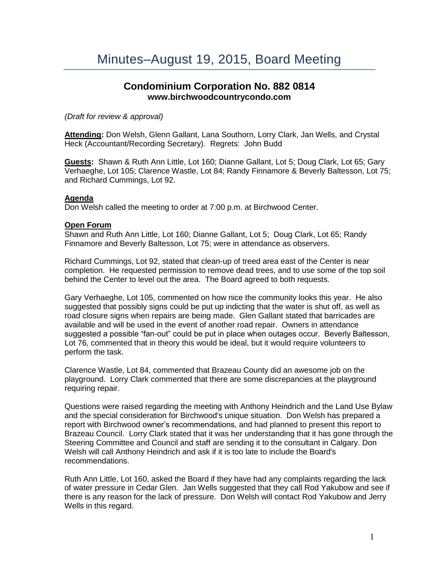# **Condominium Corporation No. 882 0814 www.birchwoodcountrycondo.com**

*(Draft for review & approval)*

**Attending:** Don Welsh, Glenn Gallant, Lana Southorn, Lorry Clark, Jan Wells, and Crystal Heck (Accountant/Recording Secretary). Regrets: John Budd

**Guests:** Shawn & Ruth Ann Little, Lot 160; Dianne Gallant, Lot 5; Doug Clark, Lot 65; Gary Verhaeghe, Lot 105; Clarence Wastle, Lot 84; Randy Finnamore & Beverly Baltesson, Lot 75; and Richard Cummings, Lot 92.

## **Agenda**

Don Welsh called the meeting to order at 7:00 p.m. at Birchwood Center.

### **Open Forum**

Shawn and Ruth Ann Little, Lot 160; Dianne Gallant, Lot 5; Doug Clark, Lot 65; Randy Finnamore and Beverly Baltesson, Lot 75; were in attendance as observers.

Richard Cummings, Lot 92, stated that clean-up of treed area east of the Center is near completion. He requested permission to remove dead trees, and to use some of the top soil behind the Center to level out the area. The Board agreed to both requests.

Gary Verhaeghe, Lot 105, commented on how nice the community looks this year. He also suggested that possibly signs could be put up indicting that the water is shut off, as well as road closure signs when repairs are being made. Glen Gallant stated that barricades are available and will be used in the event of another road repair. Owners in attendance suggested a possible "fan-out" could be put in place when outages occur. Beverly Baltesson, Lot 76, commented that in theory this would be ideal, but it would require volunteers to perform the task.

Clarence Wastle, Lot 84, commented that Brazeau County did an awesome job on the playground. Lorry Clark commented that there are some discrepancies at the playground requiring repair.

Questions were raised regarding the meeting with Anthony Heindrich and the Land Use Bylaw and the special consideration for Birchwood's unique situation. Don Welsh has prepared a report with Birchwood owner's recommendations, and had planned to present this report to Brazeau Council. Lorry Clark stated that it was her understanding that it has gone through the Steering Committee and Council and staff are sending it to the consultant in Calgary. Don Welsh will call Anthony Heindrich and ask if it is too late to include the Board's recommendations.

Ruth Ann Little, Lot 160, asked the Board if they have had any complaints regarding the lack of water pressure in Cedar Glen. Jan Wells suggested that they call Rod Yakubow and see if there is any reason for the lack of pressure. Don Welsh will contact Rod Yakubow and Jerry Wells in this regard.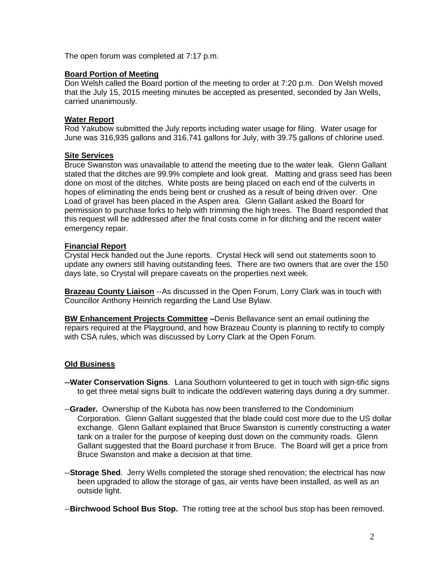The open forum was completed at 7:17 p.m.

## **Board Portion of Meeting**

Don Welsh called the Board portion of the meeting to order at 7:20 p.m. Don Welsh moved that the July 15, 2015 meeting minutes be accepted as presented, seconded by Jan Wells, carried unanimously.

### **Water Report**

Rod Yakubow submitted the July reports including water usage for filing. Water usage for June was 316,935 gallons and 316,741 gallons for July, with 39.75 gallons of chlorine used.

### **Site Services**

Bruce Swanston was unavailable to attend the meeting due to the water leak. Glenn Gallant stated that the ditches are 99.9% complete and look great. Matting and grass seed has been done on most of the ditches. White posts are being placed on each end of the culverts in hopes of eliminating the ends being bent or crushed as a result of being driven over. One Load of gravel has been placed in the Aspen area. Glenn Gallant asked the Board for permission to purchase forks to help with trimming the high trees. The Board responded that this request will be addressed after the final costs come in for ditching and the recent water emergency repair.

### **Financial Report**

Crystal Heck handed out the June reports. Crystal Heck will send out statements soon to update any owners still having outstanding fees. There are two owners that are over the 150 days late, so Crystal will prepare caveats on the properties next week.

**Brazeau County Liaison** --As discussed in the Open Forum, Lorry Clark was in touch with Councillor Anthony Heinrich regarding the Land Use Bylaw.

**BW Enhancement Projects Committee –**Denis Bellavance sent an email outlining the repairs required at the Playground, and how Brazeau County is planning to rectify to comply with CSA rules, which was discussed by Lorry Clark at the Open Forum.

## **Old Business**

- **--Water Conservation Signs**. Lana Southorn volunteered to get in touch with sign-tific signs to get three metal signs built to indicate the odd/even watering days during a dry summer.
- --**Grader.** Ownership of the Kubota has now been transferred to the Condominium Corporation. Glenn Gallant suggested that the blade could cost more due to the US dollar exchange. Glenn Gallant explained that Bruce Swanston is currently constructing a water tank on a trailer for the purpose of keeping dust down on the community roads. Glenn Gallant suggested that the Board purchase it from Bruce. The Board will get a price from Bruce Swanston and make a decision at that time.
- --**Storage Shed**. Jerry Wells completed the storage shed renovation; the electrical has now been upgraded to allow the storage of gas, air vents have been installed, as well as an outside light.

--**Birchwood School Bus Stop.** The rotting tree at the school bus stop has been removed.